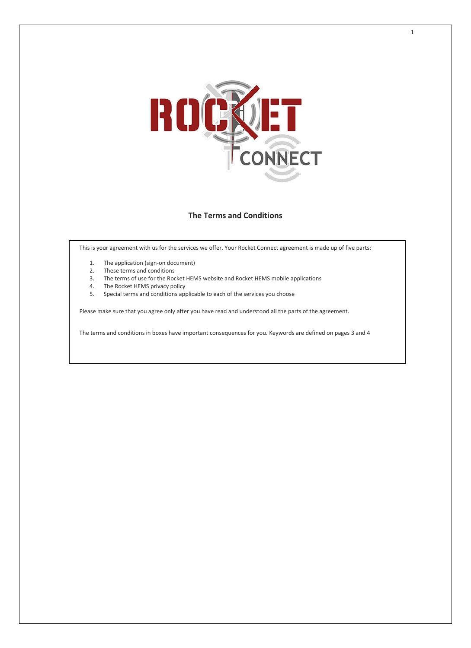

# **The Terms and Conditions**

This is your agreement with us for the services we offer. Your Rocket Connect agreement is made up of five parts:

- 1. The application (sign-on document)
- 2. These terms and conditions
- 3. The terms of use for the Rocket HEMS website and Rocket HEMS mobile applications
- 4. The Rocket HEMS privacy policy
- 5. Special terms and conditions applicable to each of the services you choose

Please make sure that you agree only after you have read and understood all the parts of the agreement.

The terms and conditions in boxes have important consequences for you. Keywords are defined on pages 3 and 4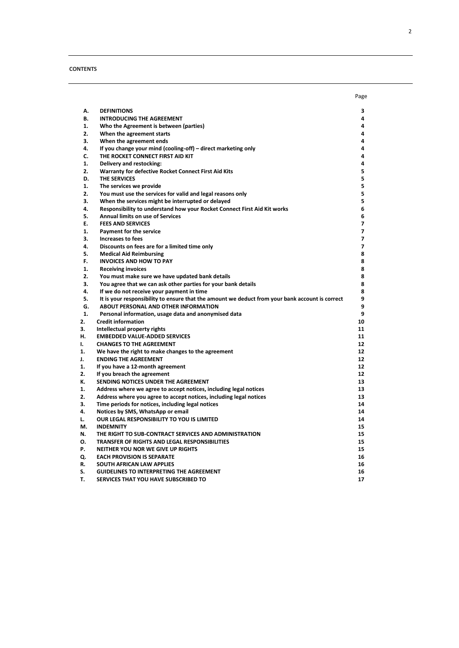## **CONTENTS**

|    |                                                                                                 | Page           |
|----|-------------------------------------------------------------------------------------------------|----------------|
| А. | <b>DEFINITIONS</b>                                                                              | з              |
| В. | <b>INTRODUCING THE AGREEMENT</b>                                                                | 4              |
| 1. | Who the Agreement is between (parties)                                                          | 4              |
| 2. | When the agreement starts                                                                       | 4              |
| З. | When the agreement ends                                                                         | 4              |
| 4. | If you change your mind (cooling-off) - direct marketing only                                   | 4              |
| C. | THE ROCKET CONNECT FIRST AID KIT                                                                | 4              |
| 1. | Delivery and restocking:                                                                        | 4              |
| 2. | Warranty for defective Rocket Connect First Aid Kits                                            | 5              |
| D. | THE SERVICES                                                                                    | 5              |
| 1. | The services we provide                                                                         | 5              |
| 2. | You must use the services for valid and legal reasons only                                      | 5              |
| 3. | When the services might be interrupted or delayed                                               | 5              |
| 4. | Responsibility to understand how your Rocket Connect First Aid Kit works                        | 6              |
| 5. | Annual limits on use of Services                                                                | 6              |
| Ε. | <b>FEES AND SERVICES</b>                                                                        | $\overline{ }$ |
| 1. | Payment for the service                                                                         | $\overline{ }$ |
| 3. | <b>Increases to fees</b>                                                                        | $\overline{7}$ |
| 4. | Discounts on fees are for a limited time only                                                   | $\overline{ }$ |
| 5. | <b>Medical Aid Reimbursing</b>                                                                  | 8              |
| F. | <b>INVOICES AND HOW TO PAY</b>                                                                  | 8              |
| 1. | <b>Receiving invoices</b>                                                                       | 8              |
| 2. | You must make sure we have updated bank details                                                 | 8              |
| 3. | You agree that we can ask other parties for your bank details                                   | 8              |
| 4. | If we do not receive your payment in time                                                       | 8              |
| 5. | It is your responsibility to ensure that the amount we deduct from your bank account is correct | 9              |
| G. | ABOUT PERSONAL AND OTHER INFORMATION                                                            | 9              |
| 1. | Personal information, usage data and anonymised data                                            | 9              |
| 2. | <b>Credit information</b>                                                                       | 10             |
| 3. | Intellectual property rights                                                                    | 11             |
| н. | <b>EMBEDDED VALUE-ADDED SERVICES</b>                                                            | 11             |
| ı. | <b>CHANGES TO THE AGREEMENT</b>                                                                 | 12             |
| 1. | We have the right to make changes to the agreement                                              | 12             |
| J. | <b>ENDING THE AGREEMENT</b>                                                                     | 12             |
| 1. | If you have a 12-month agreement                                                                | 12             |
| 2. | If you breach the agreement                                                                     | 12             |
| К. | SENDING NOTICES UNDER THE AGREEMENT                                                             | 13             |
| 1. | Address where we agree to accept notices, including legal notices                               | 13             |
| 2. | Address where you agree to accept notices, including legal notices                              | 13             |
| 3. | Time periods for notices, including legal notices                                               | 14             |
| 4. | Notices by SMS, WhatsApp or email                                                               | 14             |
| L. | <b>OUR LEGAL RESPONSIBILITY TO YOU IS LIMITED</b>                                               | 14             |
| М. | <b>INDEMNITY</b>                                                                                | 15             |
| Ν. | THE RIGHT TO SUB-CONTRACT SERVICES AND ADMINISTRATION                                           | 15             |
| О. | TRANSFER OF RIGHTS AND LEGAL RESPONSIBILITIES                                                   | 15             |
| Р. | NEITHER YOU NOR WE GIVE UP RIGHTS                                                               | 15             |
| Q. | <b>EACH PROVISION IS SEPARATE</b>                                                               | 16             |
| R. | SOUTH AFRICAN LAW APPLIES                                                                       | 16             |
| S. | <b>GUIDELINES TO INTERPRETING THE AGREEMENT</b>                                                 | 16             |

**T. [SERVICES THAT YOU HAVE SUBSCRIBED TO](#page-16-0) 17**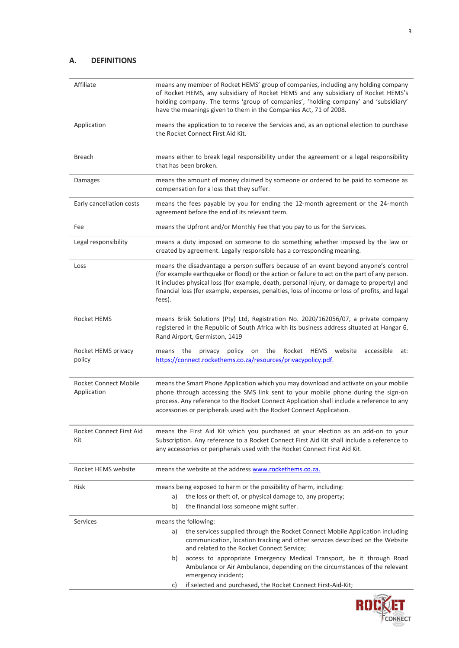# <span id="page-2-0"></span>**A. DEFINITIONS**

| Affiliate                                   | means any member of Rocket HEMS' group of companies, including any holding company<br>of Rocket HEMS, any subsidiary of Rocket HEMS and any subsidiary of Rocket HEMS's<br>holding company. The terms 'group of companies', 'holding company' and 'subsidiary'<br>have the meanings given to them in the Companies Act, 71 of 2008.                                                           |  |  |
|---------------------------------------------|-----------------------------------------------------------------------------------------------------------------------------------------------------------------------------------------------------------------------------------------------------------------------------------------------------------------------------------------------------------------------------------------------|--|--|
| Application                                 | means the application to to receive the Services and, as an optional election to purchase<br>the Rocket Connect First Aid Kit.                                                                                                                                                                                                                                                                |  |  |
| <b>Breach</b>                               | means either to break legal responsibility under the agreement or a legal responsibility<br>that has been broken.                                                                                                                                                                                                                                                                             |  |  |
| Damages                                     | means the amount of money claimed by someone or ordered to be paid to someone as<br>compensation for a loss that they suffer.                                                                                                                                                                                                                                                                 |  |  |
| Early cancellation costs                    | means the fees payable by you for ending the 12-month agreement or the 24-month<br>agreement before the end of its relevant term.                                                                                                                                                                                                                                                             |  |  |
| Fee                                         | means the Upfront and/or Monthly Fee that you pay to us for the Services.                                                                                                                                                                                                                                                                                                                     |  |  |
| Legal responsibility                        | means a duty imposed on someone to do something whether imposed by the law or<br>created by agreement. Legally responsible has a corresponding meaning.                                                                                                                                                                                                                                       |  |  |
| Loss                                        | means the disadvantage a person suffers because of an event beyond anyone's control<br>(for example earthquake or flood) or the action or failure to act on the part of any person.<br>It includes physical loss (for example, death, personal injury, or damage to property) and<br>financial loss (for example, expenses, penalties, loss of income or loss of profits, and legal<br>fees). |  |  |
| Rocket HEMS                                 | means Brisk Solutions (Pty) Ltd, Registration No. 2020/162056/07, a private company<br>registered in the Republic of South Africa with its business address situated at Hangar 6,<br>Rand Airport, Germiston, 1419                                                                                                                                                                            |  |  |
| Rocket HEMS privacy<br>policy               | policy on the Rocket HEMS website<br>means the<br>privacy<br>accessible<br>at:<br>https://connect.rockethems.co.za/resources/privacypolicy.pdf.                                                                                                                                                                                                                                               |  |  |
| <b>Rocket Connect Mobile</b><br>Application | means the Smart Phone Application which you may download and activate on your mobile<br>phone through accessing the SMS link sent to your mobile phone during the sign-on<br>process. Any reference to the Rocket Connect Application shall include a reference to any<br>accessories or peripherals used with the Rocket Connect Application.                                                |  |  |
| Rocket Connect First Aid<br>Kit             | means the First Aid Kit which you purchased at your election as an add-on to your<br>Subscription. Any reference to a Rocket Connect First Aid Kit shall include a reference to<br>any accessories or peripherals used with the Rocket Connect First Aid Kit.                                                                                                                                 |  |  |
| Rocket HEMS website                         | means the website at the address www.rockethems.co.za.                                                                                                                                                                                                                                                                                                                                        |  |  |
| Risk                                        | means being exposed to harm or the possibility of harm, including:<br>the loss or theft of, or physical damage to, any property;<br>a)<br>the financial loss someone might suffer.<br>b)                                                                                                                                                                                                      |  |  |
|                                             |                                                                                                                                                                                                                                                                                                                                                                                               |  |  |
| Services                                    | means the following:<br>the services supplied through the Rocket Connect Mobile Application including<br>a)<br>communication, location tracking and other services described on the Website<br>and related to the Rocket Connect Service;                                                                                                                                                     |  |  |
|                                             | access to appropriate Emergency Medical Transport, be it through Road<br>b)<br>Ambulance or Air Ambulance, depending on the circumstances of the relevant<br>emergency incident;                                                                                                                                                                                                              |  |  |
|                                             | if selected and purchased, the Rocket Connect First-Aid-Kit;<br>C)                                                                                                                                                                                                                                                                                                                            |  |  |

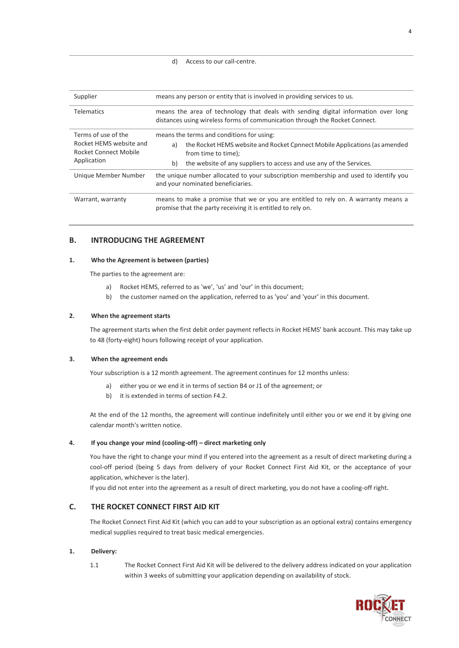#### d) Access to our call-centre.

| Supplier                                                                                      | means any person or entity that is involved in providing services to us.                                                                                                                                                          |  |  |
|-----------------------------------------------------------------------------------------------|-----------------------------------------------------------------------------------------------------------------------------------------------------------------------------------------------------------------------------------|--|--|
| <b>Telematics</b>                                                                             | means the area of technology that deals with sending digital information over long<br>distances using wireless forms of communication through the Rocket Connect.                                                                 |  |  |
| Terms of use of the<br>Rocket HEMS website and<br><b>Rocket Connect Mobile</b><br>Application | means the terms and conditions for using:<br>the Rocket HEMS website and Rocket Cpnnect Mobile Applications (as amended<br>a)<br>from time to time);<br>b)<br>the website of any suppliers to access and use any of the Services. |  |  |
| Unique Member Number                                                                          | the unique number allocated to your subscription membership and used to identify you<br>and your nominated beneficiaries.                                                                                                         |  |  |
| Warrant, warranty                                                                             | means to make a promise that we or you are entitled to rely on. A warranty means a<br>promise that the party receiving it is entitled to rely on.                                                                                 |  |  |

## <span id="page-3-0"></span>**B. INTRODUCING THE AGREEMENT**

#### <span id="page-3-1"></span>**1. Who the Agreement is between (parties)**

The parties to the agreement are:

- a) Rocket HEMS, referred to as 'we', 'us' and 'our' in this document;
- b) the customer named on the application, referred to as 'you' and 'your' in this document.

## <span id="page-3-2"></span>**2. When the agreement starts**

The agreement starts when the first debit order payment reflects in Rocket HEMS' bank account. This may take up to 48 (forty-eight) hours following receipt of your application.

## <span id="page-3-3"></span>**3. When the agreement ends**

Your subscription is a 12 month agreement. The agreement continues for 12 months unless:

- a) either you or we end it in terms of section [B4 o](#page-3-4)[r J1](#page-11-5) of the agreement; or
- b) it is extended in terms of section [F4.2.](#page-7-6)

At the end of the 12 months, the agreement will continue indefinitely until either you or we end it by giving one calendar month's written notice.

#### <span id="page-3-4"></span>**4. If you change your mind (cooling-off) – direct marketing only**

You have the right to change your mind if you entered into the agreement as a result of direct marketing during a cool-off period (being 5 days from delivery of your Rocket Connect First Aid Kit, or the acceptance of your application, whichever is the later).

If you did not enter into the agreement as a result of direct marketing, you do not have a cooling-off right.

# <span id="page-3-5"></span>**C. THE ROCKET CONNECT FIRST AID KIT**

The Rocket Connect First Aid Kit (which you can add to your subscription as an optional extra) contains emergency medical supplies required to treat basic medical emergencies.

#### <span id="page-3-6"></span>**1. Delivery:**

1.1 The Rocket Connect First Aid Kit will be delivered to the delivery address indicated on your application within 3 weeks of submitting your application depending on availability of stock.

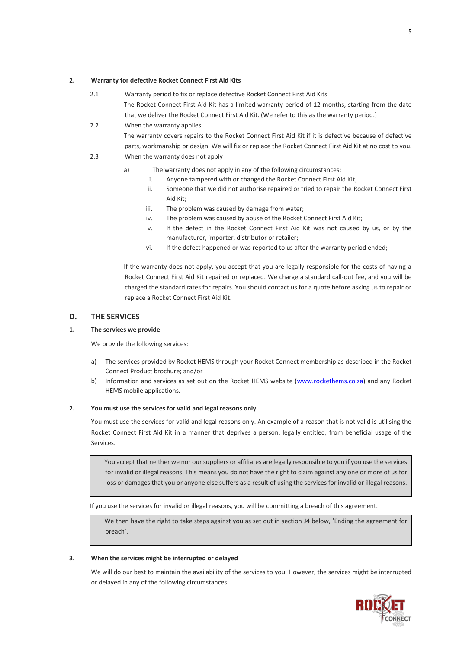## <span id="page-4-0"></span>**2. Warranty for defective Rocket Connect First Aid Kits**

- 2.1 Warranty period to fix or replace defective Rocket Connect First Aid Kits The Rocket Connect First Aid Kit has a limited warranty period of 12-months, starting from the date that we deliver the Rocket Connect First Aid Kit. (We refer to this as the warranty period.)
- 2.2 When the warranty applies The warranty covers repairs to the Rocket Connect First Aid Kit if it is defective because of defective parts, workmanship or design. We will fix or replace the Rocket Connect First Aid Kit at no cost to you.
- 2.3 When the warranty does not apply
	- a) The warranty does not apply in any of the following circumstances:
		- i. Anyone tampered with or changed the Rocket Connect First Aid Kit;
		- ii. Someone that we did not authorise repaired or tried to repair the Rocket Connect First Aid Kit;
		- iii. The problem was caused by damage from water;
		- iv. The problem was caused by abuse of the Rocket Connect First Aid Kit;
		- v. If the defect in the Rocket Connect First Aid Kit was not caused by us, or by the manufacturer, importer, distributor or retailer;
		- vi. If the defect happened or was reported to us after the warranty period ended;

If the warranty does not apply, you accept that you are legally responsible for the costs of having a Rocket Connect First Aid Kit repaired or replaced. We charge a standard call-out fee, and you will be charged the standard rates for repairs. You should contact us for a quote before asking us to repair or replace a Rocket Connect First Aid Kit.

## <span id="page-4-1"></span>**D. THE SERVICES**

#### <span id="page-4-2"></span>**1. The services we provide**

We provide the following services:

- a) The services provided by Rocket HEMS through your Rocket Connect membership as described in the Rocket Connect Product brochure; and/or
- b) Information and services as set out on the Rocket HEMS website [\(www.rockethems.co.za\)](http://www.rockethems.co.za/) and any Rocket HEMS mobile applications.

#### <span id="page-4-3"></span>**2. You must use the services for valid and legal reasons only**

You must use the services for valid and legal reasons only. An example of a reason that is not valid is utilising the Rocket Connect First Aid Kit in a manner that deprives a person, legally entitled, from beneficial usage of the Services.

You accept that neither we nor our suppliers or affiliates are legally responsible to you if you use the services for invalid or illegal reasons. This means you do not have the right to claim against any one or more of us for loss or damages that you or anyone else suffers as a result of using the services for invalid or illegal reasons.

If you use the services for invalid or illegal reasons, you will be committing a breach of this agreement.

We then have the right to take steps against you as set out in section [J4](#page-11-4) below, 'Ending the agreement for breach'.

#### <span id="page-4-4"></span>**3. When the services might be interrupted or delayed**

We will do our best to maintain the availability of the services to you. However, the services might be interrupted or delayed in any of the following circumstances:

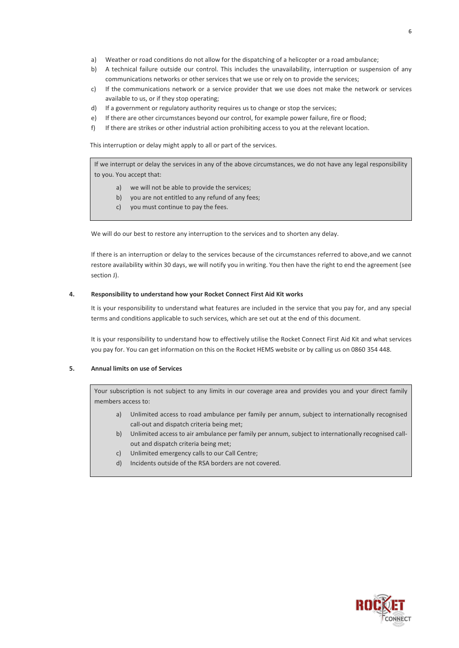- a) Weather or road conditions do not allow for the dispatching of a helicopter or a road ambulance;
- b) A technical failure outside our control. This includes the unavailability, interruption or suspension of any communications networks or other services that we use or rely on to provide the services;
- c) If the communications network or a service provider that we use does not make the network or services available to us, or if they stop operating;
- d) If a government or regulatory authority requires us to change or stop the services;
- e) If there are other circumstances beyond our control, for example power failure, fire or flood;
- f) If there are strikes or other industrial action prohibiting access to you at the relevant location.

This interruption or delay might apply to all or part of the services.

If we interrupt or delay the services in any of the above circumstances, we do not have any legal responsibility to you. You accept that:

- a) we will not be able to provide the services;
- b) you are not entitled to any refund of any fees;
- c) you must continue to pay the fees.

We will do our best to restore any interruption to the services and to shorten any delay.

If there is an interruption or delay to the services because of the circumstances referred to above,and we cannot restore availability within 30 days, we will notify you in writing. You then have the right to end the agreement (see sectio[n J\)](#page-11-2).

#### <span id="page-5-0"></span>**4. Responsibility to understand how your Rocket Connect First Aid Kit works**

It is your responsibility to understand what features are included in the service that you pay for, and any special terms and conditions applicable to such services, which are set out at the end of this document.

It is your responsibility to understand how to effectively utilise the Rocket Connect First Aid Kit and what services you pay for. You can get information on this on the Rocket HEMS website or by calling us on 0860 354 448.

# <span id="page-5-1"></span>**5. Annual limits on use of Services**

Your subscription is not subject to any limits in our coverage area and provides you and your direct family members access to:

- a) Unlimited access to road ambulance per family per annum, subject to internationally recognised call-out and dispatch criteria being met;
- b) Unlimited access to air ambulance per family per annum, subject to internationally recognised callout and dispatch criteria being met;
- c) Unlimited emergency calls to our Call Centre;
- d) Incidents outside of the RSA borders are not covered.

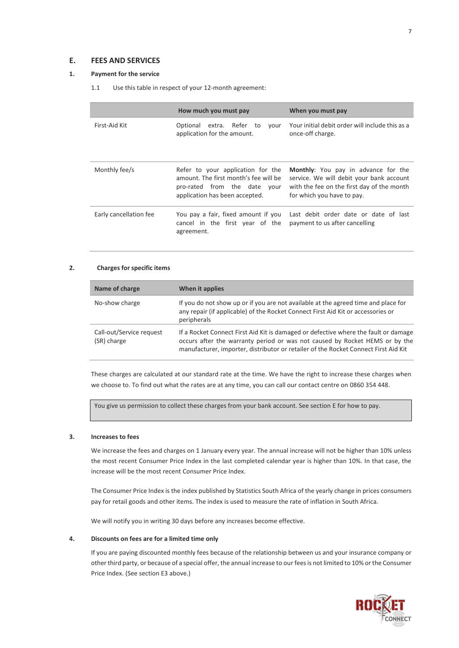## <span id="page-6-0"></span>**E. FEES AND SERVICES**

## <span id="page-6-1"></span>**1. Payment for the service**

1.1 Use this table in respect of your 12-month agreement:

|                        | How much you must pay                                                                                                                        | When you must pay                                                                                                                                                  |
|------------------------|----------------------------------------------------------------------------------------------------------------------------------------------|--------------------------------------------------------------------------------------------------------------------------------------------------------------------|
| First-Aid Kit          | Optional extra. Refer to<br>your<br>application for the amount.                                                                              | Your initial debit order will include this as a<br>once-off charge.                                                                                                |
| Monthly fee/s          | Refer to your application for the<br>amount. The first month's fee will be<br>pro-rated from the date your<br>application has been accepted. | <b>Monthly:</b> You pay in advance for the<br>service. We will debit your bank account<br>with the fee on the first day of the month<br>for which you have to pay. |
| Early cancellation fee | You pay a fair, fixed amount if you<br>cancel in the first year of the<br>agreement.                                                         | Last debit order date or date of last<br>payment to us after cancelling                                                                                            |

## **2. Charges for specific items**

| Name of charge                          | When it applies                                                                                                                                                                                                                                           |
|-----------------------------------------|-----------------------------------------------------------------------------------------------------------------------------------------------------------------------------------------------------------------------------------------------------------|
| No-show charge                          | If you do not show up or if you are not available at the agreed time and place for<br>any repair (if applicable) of the Rocket Connect First Aid Kit or accessories or<br>peripherals                                                                     |
| Call-out/Service request<br>(SR) charge | If a Rocket Connect First Aid Kit is damaged or defective where the fault or damage<br>occurs after the warranty period or was not caused by Rocket HEMS or by the<br>manufacturer, importer, distributor or retailer of the Rocket Connect First Aid Kit |

These charges are calculated at our standard rate at the time. We have the right to increase these charges when we choose to. To find out what the rates are at any time, you can call our contact centre on 0860 354 448.

You give us permission to collect these charges from your bank account. See section E for how to pay.

## <span id="page-6-2"></span>**3. Increases to fees**

We increase the fees and charges on 1 January every year. The annual increase will not be higher than 10% unless the most recent Consumer Price Index in the last completed calendar year is higher than 10%. In that case, the increase will be the most recent Consumer Price Index.

The Consumer Price Index is the index published by Statistics South Africa of the yearly change in prices consumers pay for retail goods and other items. The index is used to measure the rate of inflation in South Africa.

We will notify you in writing 30 days before any increases become effective.

#### <span id="page-6-3"></span>**4. Discounts on fees are for a limited time only**

If you are paying discounted monthly fees because of the relationship between us and your insurance company or other third party, or because of a special offer, the annual increase to our fees is not limited to 10% or the Consumer Price Index. (See section E3 above.)

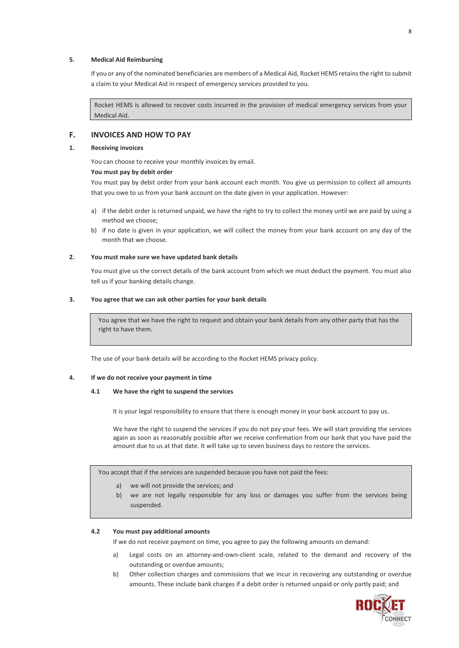## <span id="page-7-0"></span>**5. Medical Aid Reimbursing**

If you or any of the nominated beneficiaries are members of a Medical Aid, Rocket HEMS retains the right to submit a claim to your Medical Aid in respect of emergency services provided to you.

Rocket HEMS is allowed to recover costs incurred in the provision of medical emergency services from your Medical Aid.

## <span id="page-7-1"></span>**F. INVOICES AND HOW TO PAY**

### <span id="page-7-2"></span>**1. Receiving invoices**

You can choose to receive your monthly invoices by email.

## **You must pay by debit order**

You must pay by debit order from your bank account each month. You give us permission to collect all amounts that you owe to us from your bank account on the date given in your application. However:

- a) if the debit order is returned unpaid, we have the right to try to collect the money until we are paid by using a method we choose;
- b) if no date is given in your application, we will collect the money from your bank account on any day of the month that we choose.

#### <span id="page-7-3"></span>**2. You must make sure we have updated bank details**

You must give us the correct details of the bank account from which we must deduct the payment. You must also tell us if your banking details change.

## <span id="page-7-4"></span>**3. You agree that we can ask other parties for your bank details**

You agree that we have the right to request and obtain your bank details from any other party that has the right to have them.

The use of your bank details will be according to the Rocket HEMS privacy policy.

#### <span id="page-7-5"></span>**4. If we do not receive your payment in time**

## **4.1 We have the right to suspend the services**

It is your legal responsibility to ensure that there is enough money in your bank account to pay us.

We have the right to suspend the services if you do not pay your fees. We will start providing the services again as soon as reasonably possible after we receive confirmation from our bank that you have paid the amount due to us at that date. It will take up to seven business days to restore the services.

You accept that if the services are suspended because you have not paid the fees:

- a) we will not provide the services; and
- b) we are not legally responsible for any loss or damages you suffer from the services being suspended.

#### <span id="page-7-6"></span>**4.2 You must pay additional amounts**

If we do not receive payment on time, you agree to pay the following amounts on demand:

- a) Legal costs on an attorney-and-own-client scale, related to the demand and recovery of the outstanding or overdue amounts;
- b) Other collection charges and commissions that we incur in recovering any outstanding or overdue amounts. These include bank charges if a debit order is returned unpaid or only partly paid; and

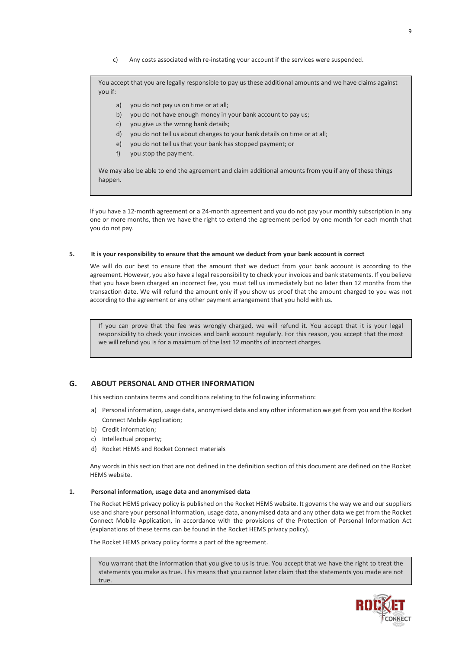c) Any costs associated with re-instating your account if the services were suspended.

You accept that you are legally responsible to pay us these additional amounts and we have claims against you if:

- a) you do not pay us on time or at all;
- b) you do not have enough money in your bank account to pay us;
- c) you give us the wrong bank details;
- d) you do not tell us about changes to your bank details on time or at all;
- e) you do not tell us that your bank has stopped payment; or
- f) you stop the payment.

We may also be able to end the agreement and claim additional amounts from you if any of these things happen.

If you have a 12-month agreement or a 24-month agreement and you do not pay your monthly subscription in any one or more months, then we have the right to extend the agreement period by one month for each month that you do not pay.

#### <span id="page-8-0"></span>**5. It is your responsibility to ensure that the amount we deduct from your bank account is correct**

We will do our best to ensure that the amount that we deduct from your bank account is according to the agreement. However, you also have a legal responsibility to check your invoices and bank statements. If you believe that you have been charged an incorrect fee, you must tell us immediately but no later than 12 months from the transaction date. We will refund the amount only if you show us proof that the amount charged to you was not according to the agreement or any other payment arrangement that you hold with us.

If you can prove that the fee was wrongly charged, we will refund it. You accept that it is your legal responsibility to check your invoices and bank account regularly. For this reason, you accept that the most we will refund you is for a maximum of the last 12 months of incorrect charges.

## <span id="page-8-1"></span>**G. ABOUT PERSONAL AND OTHER INFORMATION**

This section contains terms and conditions relating to the following information:

- a) Personal information, usage data, anonymised data and any other information we get from you and the Rocket Connect Mobile Application;
- b) Credit information;
- c) Intellectual property;
- d) Rocket HEMS and Rocket Connect materials

Any words in this section that are not defined in the definition section of this document are defined on the Rocket HEMS website.

#### <span id="page-8-2"></span>**1. Personal information, usage data and anonymised data**

The Rocket HEMS privacy policy is published on the Rocket HEMS website. It governs the way we and our suppliers use and share your personal information, usage data, anonymised data and any other data we get from the Rocket Connect Mobile Application, in accordance with the provisions of the Protection of Personal Information Act (explanations of these terms can be found in the Rocket HEMS privacy policy).

The Rocket HEMS privacy policy forms a part of the agreement.

You warrant that the information that you give to us is true. You accept that we have the right to treat the statements you make as true. This means that you cannot later claim that the statements you made are not true.

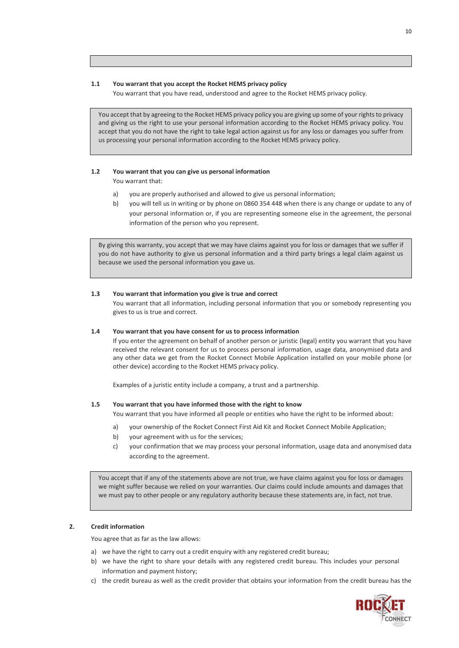#### **1.1 You warrant that you accept the Rocket HEMS privacy policy**

You warrant that you have read, understood and agree to the Rocket HEMS privacy policy.

You accept that by agreeing to the Rocket HEMS privacy policy you are giving up some of your rights to privacy and giving us the right to use your personal information according to the Rocket HEMS privacy policy. You accept that you do not have the right to take legal action against us for any loss or damages you suffer from us processing your personal information according to the Rocket HEMS privacy policy.

## **1.2 You warrant that you can give us personal information**

You warrant that:

- a) you are properly authorised and allowed to give us personal information;
- b) you will tell us in writing or by phone on 0860 354 448 when there is any change or update to any of your personal information or, if you are representing someone else in the agreement, the personal information of the person who you represent.

By giving this warranty, you accept that we may have claims against you for loss or damages that we suffer if you do not have authority to give us personal information and a third party brings a legal claim against us because we used the personal information you gave us.

#### **1.3 You warrant that information you give is true and correct**

You warrant that all information, including personal information that you or somebody representing you gives to us is true and correct.

## **1.4 You warrant that you have consent for us to process information**

If you enter the agreement on behalf of another person or juristic (legal) entity you warrant that you have received the relevant consent for us to process personal information, usage data, anonymised data and any other data we get from the Rocket Connect Mobile Application installed on your mobile phone (or other device) according to the Rocket HEMS privacy policy.

Examples of a juristic entity include a company, a trust and a partnership.

#### **1.5 You warrant that you have informed those with the right to know**

- You warrant that you have informed all people or entities who have the right to be informed about:
- a) your ownership of the Rocket Connect First Aid Kit and Rocket Connect Mobile Application;
- b) your agreement with us for the services;
- c) your confirmation that we may process your personal information, usage data and anonymised data according to the agreement.

You accept that if any of the statements above are not true, we have claims against you for loss or damages we might suffer because we relied on your warranties. Our claims could include amounts and damages that we must pay to other people or any regulatory authority because these statements are, in fact, not true.

### <span id="page-9-0"></span>**2. Credit information**

You agree that as far as the law allows:

- a) we have the right to carry out a credit enquiry with any registered credit bureau;
- b) we have the right to share your details with any registered credit bureau. This includes your personal information and payment history;
- c) the credit bureau as well as the credit provider that obtains your information from the credit bureau has the

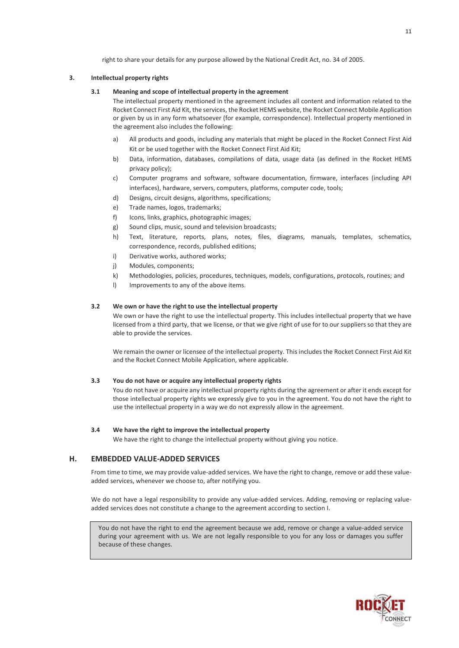right to share your details for any purpose allowed by the National Credit Act, no. 34 of 2005.

#### <span id="page-10-0"></span>**3. Intellectual property rights**

#### **3.1 Meaning and scope of intellectual property in the agreement**

The intellectual property mentioned in the agreement includes all content and information related to the Rocket Connect First Aid Kit, the services, the Rocket HEMS website, the Rocket Connect Mobile Application or given by us in any form whatsoever (for example, correspondence). Intellectual property mentioned in the agreement also includes the following:

- a) All products and goods, including any materials that might be placed in the Rocket Connect First Aid Kit or be used together with the Rocket Connect First Aid Kit;
- b) Data, information, databases, compilations of data, usage data (as defined in the Rocket HEMS privacy policy);
- c) Computer programs and software, software documentation, firmware, interfaces (including API interfaces), hardware, servers, computers, platforms, computer code, tools;
- d) Designs, circuit designs, algorithms, specifications;
- e) Trade names, logos, trademarks;
- f) Icons, links, graphics, photographic images;
- g) Sound clips, music, sound and television broadcasts;
- h) Text, literature, reports, plans, notes, files, diagrams, manuals, templates, schematics, correspondence, records, published editions;
- i) Derivative works, authored works;
- j) Modules, components;
- k) Methodologies, policies, procedures, techniques, models, configurations, protocols, routines; and
- I) Improvements to any of the above items.

## **3.2 We own or have the right to use the intellectual property**

We own or have the right to use the intellectual property. This includes intellectual property that we have licensed from a third party, that we license, or that we give right of use for to our suppliers so that they are able to provide the services.

We remain the owner or licensee of the intellectual property. This includes the Rocket Connect First Aid Kit and the Rocket Connect Mobile Application, where applicable.

#### **3.3 You do not have or acquire any intellectual property rights**

You do not have or acquire any intellectual property rights during the agreement or after it ends except for those intellectual property rights we expressly give to you in the agreement. You do not have the right to use the intellectual property in a way we do not expressly allow in the agreement.

#### **3.4 We have the right to improve the intellectual property**

We have the right to change the intellectual property without giving you notice.

# <span id="page-10-1"></span>**H. EMBEDDED VALUE-ADDED SERVICES**

From time to time, we may provide value-added services. We have the right to change, remove or add these valueadded services, whenever we choose to, after notifying you.

We do not have a legal responsibility to provide any value-added services. Adding, removing or replacing valueadded services does not constitute a change to the agreement according to section [I.](#page-11-0)

You do not have the right to end the agreement because we add, remove or change a value-added service during your agreement with us. We are not legally responsible to you for any loss or damages you suffer because of these changes.

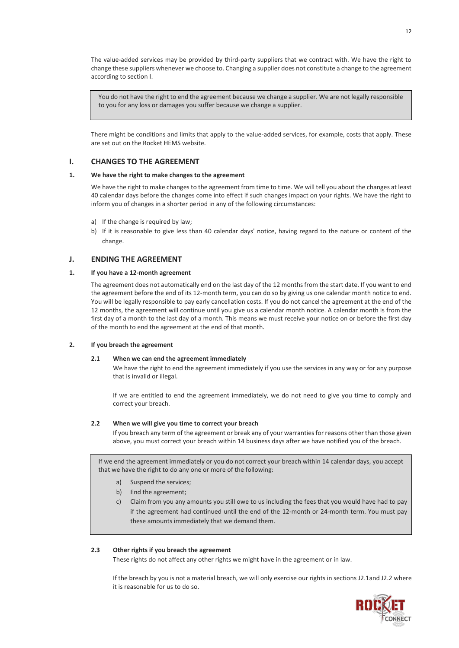The value-added services may be provided by third-party suppliers that we contract with. We have the right to change these suppliers whenever we choose to. Changing a supplier does not constitute a change to the agreement according to section [I.](#page-11-0)

You do not have the right to end the agreement because we change a supplier. We are not legally responsible to you for any loss or damages you suffer because we change a supplier.

There might be conditions and limits that apply to the value-added services, for example, costs that apply. These are set out on the Rocket HEMS website.

## <span id="page-11-0"></span>**I. CHANGES TO THE AGREEMENT**

## <span id="page-11-1"></span>**1. We have the right to make changes to the agreement**

We have the right to make changes to the agreement from time to time. We will tell you about the changes at least 40 calendar days before the changes come into effect if such changes impact on your rights. We have the right to inform you of changes in a shorter period in any of the following circumstances:

- a) If the change is required by law;
- b) If it is reasonable to give less than 40 calendar days' notice, having regard to the nature or content of the change.

## <span id="page-11-2"></span>**J. ENDING THE AGREEMENT**

## <span id="page-11-3"></span>**1. If you have a 12-month agreement**

The agreement does not automatically end on the last day of the 12 months from the start date. If you want to end the agreement before the end of its 12-month term, you can do so by giving us one calendar month notice to end. You will be legally responsible to pay early cancellation costs. If you do not cancel the agreement at the end of the 12 months, the agreement will continue until you give us a calendar month notice. A calendar month is from the first day of a month to the last day of a month. This means we must receive your notice on or before the first day of the month to end the agreement at the end of that month.

## <span id="page-11-5"></span><span id="page-11-4"></span>**2. If you breach the agreement**

## **2.1 When we can end the agreement immediately**

We have the right to end the agreement immediately if you use the services in any way or for any purpose that is invalid or illegal.

If we are entitled to end the agreement immediately, we do not need to give you time to comply and correct your breach.

## **2.2 When we will give you time to correct your breach**

If you breach any term of the agreement or break any of your warranties for reasons other than those given above, you must correct your breach within 14 business days after we have notified you of the breach.

If we end the agreement immediately or you do not correct your breach within 14 calendar days, you accept that we have the right to do any one or more of the following:

- a) Suspend the services;
- b) End the agreement;
- c) Claim from you any amounts you still owe to us including the fees that you would have had to pay if the agreement had continued until the end of the 12-month or 24-month term. You must pay these amounts immediately that we demand them.

#### **2.3 Other rights if you breach the agreement**

These rights do not affect any other rights we might have in the agreement or in law.

If the breach by you is not a material breach, we will only exercise our rights in sections J2.1and J2.2 where it is reasonable for us to do so.

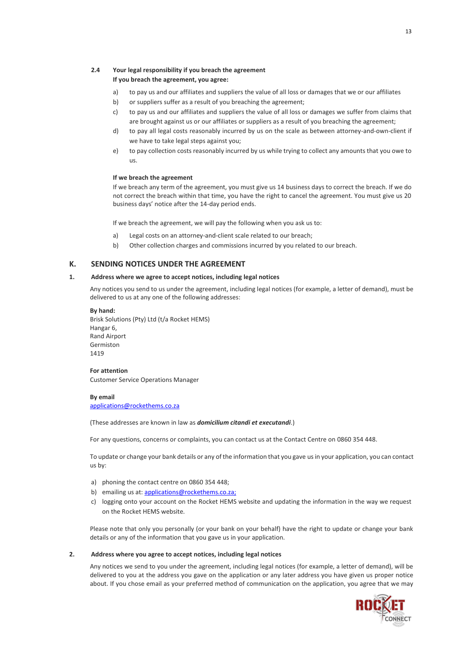# **2.4 Your legal responsibility if you breach the agreement**

## **If you breach the agreement, you agree:**

- a) to pay us and our affiliates and suppliers the value of all loss or damages that we or our affiliates
- b) or suppliers suffer as a result of you breaching the agreement;
- c) to pay us and our affiliates and suppliers the value of all loss or damages we suffer from claims that are brought against us or our affiliates or suppliers as a result of you breaching the agreement;
- d) to pay all legal costs reasonably incurred by us on the scale as between attorney-and-own-client if we have to take legal steps against you;
- e) to pay collection costs reasonably incurred by us while trying to collect any amounts that you owe to us.

#### **If we breach the agreement**

If we breach any term of the agreement, you must give us 14 business days to correct the breach. If we do not correct the breach within that time, you have the right to cancel the agreement. You must give us 20 business days' notice after the 14-day period ends.

If we breach the agreement, we will pay the following when you ask us to:

- a) Legal costs on an attorney-and-client scale related to our breach;
- b) Other collection charges and commissions incurred by you related to our breach.

# <span id="page-12-0"></span>**K. SENDING NOTICES UNDER THE AGREEMENT**

## <span id="page-12-1"></span>**1. Address where we agree to accept notices, including legal notices**

Any notices you send to us under the agreement, including legal notices (for example, a letter of demand), must be delivered to us at any one of the following addresses:

**By hand:** Brisk Solutions (Pty) Ltd (t/a Rocket HEMS) Hangar 6, Rand Airport Germiston 1419

**For attention** Customer Service Operations Manager

**By email** [applications@rockethems.co.za](mailto:applications@rockethems.co.za)

(These addresses are known in law as *domicilium citandi et executandi*.)

For any questions, concerns or complaints, you can contact us at the Contact Centre on 0860 354 448.

To update or change your bank details or any of the information that you gave us in your application, you can contact us by:

- a) phoning the contact centre on 0860 354 448;
- b) emailing us at[: applications@rockethems.co.za;](mailto:applications@rockethems.co.za;)
- c) logging onto your account on the Rocket HEMS website and updating the information in the way we request on the Rocket HEMS website.

Please note that only you personally (or your bank on your behalf) have the right to update or change your bank details or any of the information that you gave us in your application.

#### <span id="page-12-2"></span>**2. Address where you agree to accept notices, including legal notices**

Any notices we send to you under the agreement, including legal notices (for example, a letter of demand), will be delivered to you at the address you gave on the application or any later address you have given us proper notice about. If you chose email as your preferred method of communication on the application, you agree that we may

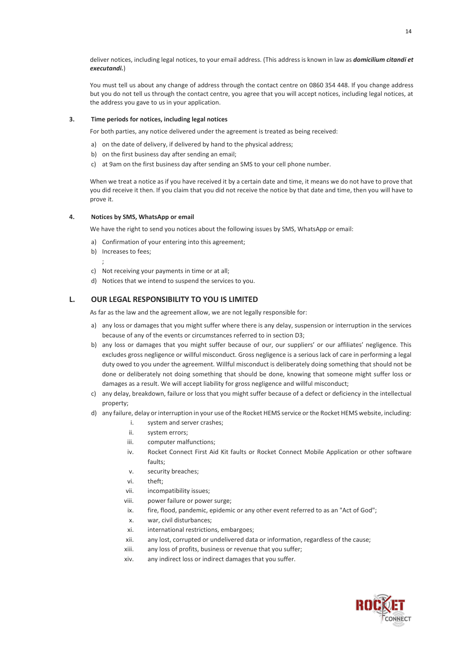deliver notices, including legal notices, to your email address. (This address is known in law as *domicilium citandi et executandi.*)

You must tell us about any change of address through the contact centre on 0860 354 448. If you change address but you do not tell us through the contact centre, you agree that you will accept notices, including legal notices, at the address you gave to us in your application.

#### <span id="page-13-0"></span>**3. Time periods for notices, including legal notices**

For both parties, any notice delivered under the agreement is treated as being received:

- a) on the date of delivery, if delivered by hand to the physical address;
- b) on the first business day after sending an email;
- c) at 9am on the first business day after sending an SMS to your cell phone number.

When we treat a notice as if you have received it by a certain date and time, it means we do not have to prove that you did receive it then. If you claim that you did not receive the notice by that date and time, then you will have to prove it.

## <span id="page-13-1"></span>**4. Notices by SMS, WhatsApp or email**

We have the right to send you notices about the following issues by SMS, WhatsApp or email:

- a) Confirmation of your entering into this agreement;
- b) Increases to fees;
	- ;
- c) Not receiving your payments in time or at all;
- d) Notices that we intend to suspend the services to you.

# <span id="page-13-2"></span>**L. OUR LEGAL RESPONSIBILITY TO YOU IS LIMITED**

As far as the law and the agreement allow, we are not legally responsible for:

- a) any loss or damages that you might suffer where there is any delay, suspension or interruption in the services because of any of the events or circumstances referred to in section D3;
- b) any loss or damages that you might suffer because of our, our suppliers' or our affiliates' negligence. This excludes gross negligence or willful misconduct. Gross negligence is a serious lack of care in performing a legal duty owed to you under the agreement. Willful misconduct is deliberately doing something that should not be done or deliberately not doing something that should be done, knowing that someone might suffer loss or damages as a result. We will accept liability for gross negligence and willful misconduct;
- c) any delay, breakdown, failure or loss that you might suffer because of a defect or deficiency in the intellectual property;
- d) any failure, delay or interruption in your use of the Rocket HEMS service or the Rocket HEMS website, including:
	- i. system and server crashes;
	- ii. system errors;
	- iii. computer malfunctions;
	- iv. Rocket Connect First Aid Kit faults or Rocket Connect Mobile Application or other software faults;
	- v. security breaches;
	- vi. theft;
	- vii. incompatibility issues;
	- viii. power failure or power surge;
	- ix. fire, flood, pandemic, epidemic or any other event referred to as an "Act of God";
	- x. war, civil disturbances;
	- xi. international restrictions, embargoes;
	- xii. any lost, corrupted or undelivered data or information, regardless of the cause;
	- xiii. any loss of profits, business or revenue that you suffer;
	- xiv. any indirect loss or indirect damages that you suffer.

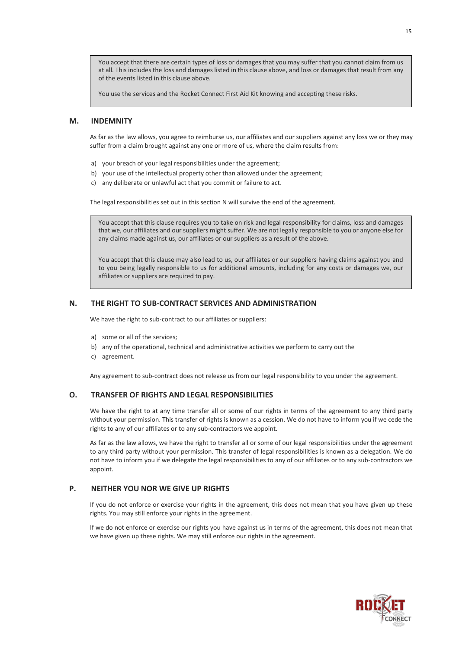You accept that there are certain types of loss or damages that you may suffer that you cannot claim from us at all. This includes the loss and damages listed in this clause above, and loss or damages that result from any of the events listed in this clause above.

You use the services and the Rocket Connect First Aid Kit knowing and accepting these risks.

## <span id="page-14-0"></span>**M. INDEMNITY**

As far as the law allows, you agree to reimburse us, our affiliates and our suppliers against any loss we or they may suffer from a claim brought against any one or more of us, where the claim results from:

- a) your breach of your legal responsibilities under the agreement;
- b) your use of the intellectual property other than allowed under the agreement;
- c) any deliberate or unlawful act that you commit or failure to act.

The legal responsibilities set out in this section N will survive the end of the agreement.

You accept that this clause requires you to take on risk and legal responsibility for claims, loss and damages that we, our affiliates and our suppliers might suffer. We are not legally responsible to you or anyone else for any claims made against us, our affiliates or our suppliers as a result of the above.

You accept that this clause may also lead to us, our affiliates or our suppliers having claims against you and to you being legally responsible to us for additional amounts, including for any costs or damages we, our affiliates or suppliers are required to pay.

## <span id="page-14-1"></span>**N. THE RIGHT TO SUB-CONTRACT SERVICES AND ADMINISTRATION**

We have the right to sub-contract to our affiliates or suppliers:

- a) some or all of the services;
- b) any of the operational, technical and administrative activities we perform to carry out the
- c) agreement.

Any agreement to sub-contract does not release us from our legal responsibility to you under the agreement.

## <span id="page-14-2"></span>**O. TRANSFER OF RIGHTS AND LEGAL RESPONSIBILITIES**

We have the right to at any time transfer all or some of our rights in terms of the agreement to any third party without your permission. This transfer of rights is known as a cession. We do not have to inform you if we cede the rights to any of our affiliates or to any sub-contractors we appoint.

As far as the law allows, we have the right to transfer all or some of our legal responsibilities under the agreement to any third party without your permission. This transfer of legal responsibilities is known as a delegation. We do not have to inform you if we delegate the legal responsibilities to any of our affiliates or to any sub-contractors we appoint.

# <span id="page-14-3"></span>**P. NEITHER YOU NOR WE GIVE UP RIGHTS**

If you do not enforce or exercise your rights in the agreement, this does not mean that you have given up these rights. You may still enforce your rights in the agreement.

If we do not enforce or exercise our rights you have against us in terms of the agreement, this does not mean that we have given up these rights. We may still enforce our rights in the agreement.

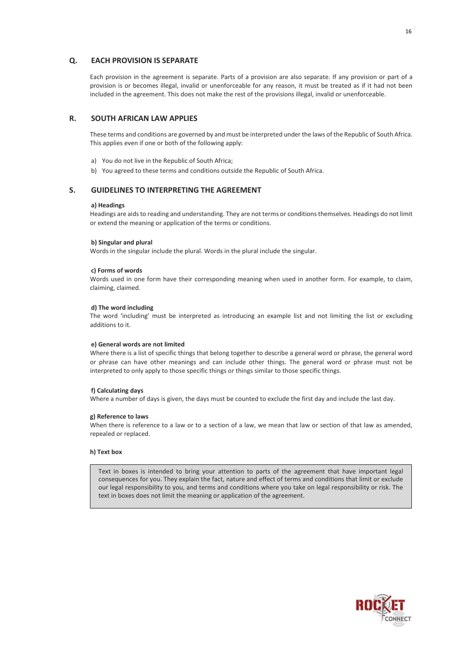## <span id="page-15-0"></span>**Q. EACH PROVISION IS SEPARATE**

Each provision in the agreement is separate. Parts of a provision are also separate. If any provision or part of a provision is or becomes illegal, invalid or unenforceable for any reason, it must be treated as if it had not been included in the agreement. This does not make the rest of the provisions illegal, invalid or unenforceable.

#### <span id="page-15-1"></span>**R. SOUTH AFRICAN LAW APPLIES**

These terms and conditions are governed by and must be interpreted under the laws of the Republic of South Africa. This applies even if one or both of the following apply:

- a) You do not live in the Republic of South Africa;
- b) You agreed to these terms and conditions outside the Republic of South Africa.

## <span id="page-15-2"></span>**S. GUIDELINES TO INTERPRETING THE AGREEMENT**

#### **a) Headings**

Headings are aids to reading and understanding. They are not terms or conditions themselves. Headings do not limit or extend the meaning or application of the terms or conditions.

#### **b) Singular and plural**

Words in the singular include the plural. Words in the plural include the singular.

#### **c) Forms of words**

Words used in one form have their corresponding meaning when used in another form. For example, to claim, claiming, claimed.

#### **d) The word including**

The word 'including' must be interpreted as introducing an example list and not limiting the list or excluding additions to it.

#### **e) General words are not limited**

Where there is a list of specific things that belong together to describe a general word or phrase, the general word or phrase can have other meanings and can include other things. The general word or phrase must not be interpreted to only apply to those specific things or things similar to those specific things.

#### **f) Calculating days**

Where a number of days is given, the days must be counted to exclude the first day and include the last day.

#### **g) Reference to laws**

When there is reference to a law or to a section of a law, we mean that law or section of that law as amended, repealed or replaced.

#### **h) Text box**

Text in boxes is intended to bring your attention to parts of the agreement that have important legal consequences for you. They explain the fact, nature and effect of terms and conditions that limit or exclude our legal responsibility to you, and terms and conditions where you take on legal responsibility or risk. The text in boxes does not limit the meaning or application of the agreement.